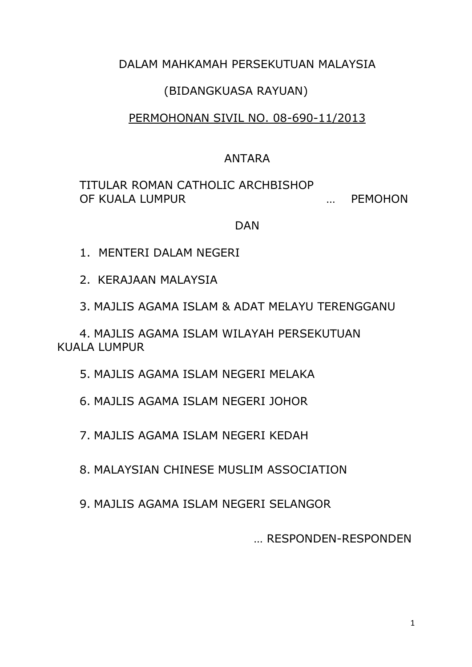# DALAM MAHKAMAH PERSEKUTUAN MALAYSIA

### (BIDANGKUASA RAYUAN)

## PERMOHONAN SIVIL NO. 08-690-11/2013

### ANTARA

## TITULAR ROMAN CATHOLIC ARCHBISHOP OF KUALA LUMPUR … PEMOHON

#### DAN

- 1. MENTERI DALAM NEGERI
- 2. KERAJAAN MALAYSIA
- 3. MAJLIS AGAMA ISLAM & ADAT MELAYU TERENGGANU

4. MAJLIS AGAMA ISLAM WILAYAH PERSEKUTUAN KUALA LUMPUR

5. MAJLIS AGAMA ISLAM NEGERI MELAKA

6. MAJLIS AGAMA ISLAM NEGERI JOHOR

7. MAJLIS AGAMA ISLAM NEGERI KEDAH

8. MALAYSIAN CHINESE MUSLIM ASSOCIATION

9. MAJLIS AGAMA ISLAM NEGERI SELANGOR

… RESPONDEN-RESPONDEN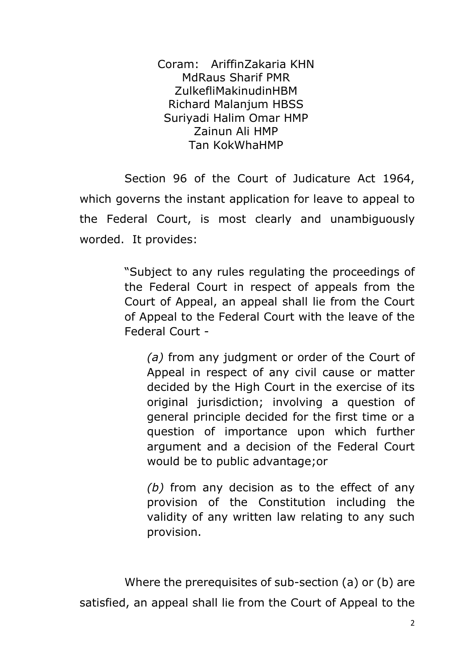Coram: AriffinZakaria KHN MdRaus Sharif PMR ZulkefliMakinudinHBM Richard Malanjum HBSS Suriyadi Halim Omar HMP Zainun Ali HMP Tan KokWhaHMP

Section 96 of the Court of Judicature Act 1964, which governs the instant application for leave to appeal to the Federal Court, is most clearly and unambiguously worded. It provides:

> "Subject to any rules regulating the proceedings of the Federal Court in respect of appeals from the Court of Appeal, an appeal shall lie from the Court of Appeal to the Federal Court with the leave of the Federal Court -

*(a)* from any judgment or order of the Court of Appeal in respect of any civil cause or matter decided by the High Court in the exercise of its original jurisdiction; involving a question of general principle decided for the first time or a question of importance upon which further argument and a decision of the Federal Court would be to public advantage;or

*(b)* from any decision as to the effect of any provision of the Constitution including the validity of any written law relating to any such provision.

Where the prerequisites of sub-section (a) or (b) are satisfied, an appeal shall lie from the Court of Appeal to the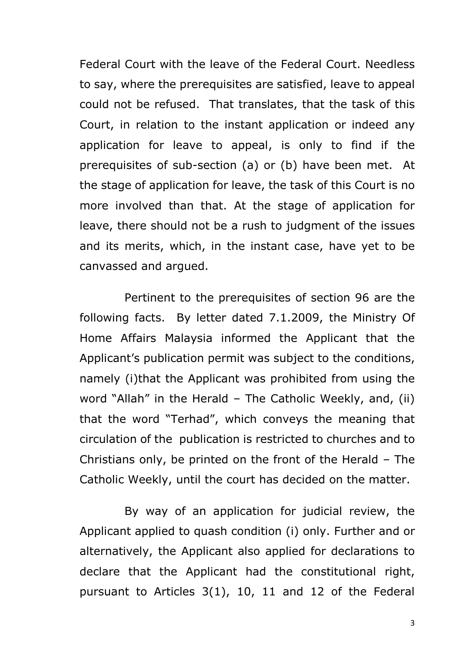Federal Court with the leave of the Federal Court. Needless to say, where the prerequisites are satisfied, leave to appeal could not be refused. That translates, that the task of this Court, in relation to the instant application or indeed any application for leave to appeal, is only to find if the prerequisites of sub-section (a) or (b) have been met. At the stage of application for leave, the task of this Court is no more involved than that. At the stage of application for leave, there should not be a rush to judgment of the issues and its merits, which, in the instant case, have yet to be canvassed and argued.

Pertinent to the prerequisites of section 96 are the following facts. By letter dated 7.1.2009, the Ministry Of Home Affairs Malaysia informed the Applicant that the Applicant's publication permit was subject to the conditions, namely (i)that the Applicant was prohibited from using the word "Allah" in the Herald – The Catholic Weekly, and, (ii) that the word "Terhad", which conveys the meaning that circulation of the publication is restricted to churches and to Christians only, be printed on the front of the Herald – The Catholic Weekly, until the court has decided on the matter.

By way of an application for judicial review, the Applicant applied to quash condition (i) only. Further and or alternatively, the Applicant also applied for declarations to declare that the Applicant had the constitutional right, pursuant to Articles 3(1), 10, 11 and 12 of the Federal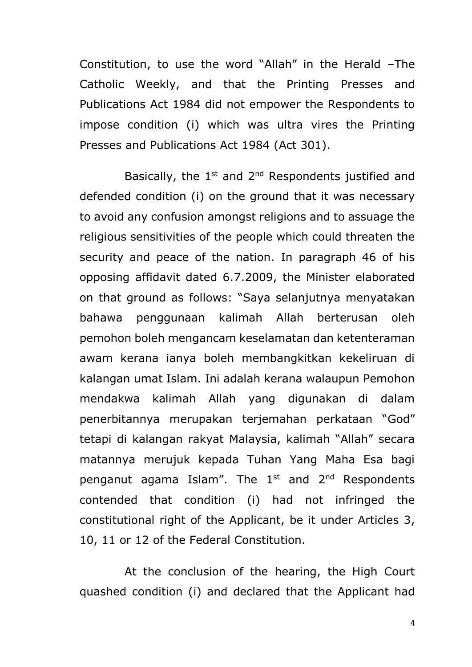Constitution, to use the word "Allah" in the Herald –The Catholic Weekly, and that the Printing Presses and Publications Act 1984 did not empower the Respondents to impose condition (i) which was ultra vires the Printing Presses and Publications Act 1984 (Act 301).

Basically, the  $1<sup>st</sup>$  and  $2<sup>nd</sup>$  Respondents justified and defended condition (i) on the ground that it was necessary to avoid any confusion amongst religions and to assuage the religious sensitivities of the people which could threaten the security and peace of the nation. In paragraph 46 of his opposing affidavit dated 6.7.2009, the Minister elaborated on that ground as follows: "Saya selanjutnya menyatakan bahawa penggunaan kalimah Allah berterusan oleh pemohon boleh mengancam keselamatan dan ketenteraman awam kerana ianya boleh membangkitkan kekeliruan di kalangan umat Islam. Ini adalah kerana walaupun Pemohon mendakwa kalimah Allah yang digunakan di dalam penerbitannya merupakan terjemahan perkataan "God" tetapi di kalangan rakyat Malaysia, kalimah "Allah" secara matannya merujuk kepada Tuhan Yang Maha Esa bagi penganut agama Islam". The  $1<sup>st</sup>$  and  $2<sup>nd</sup>$  Respondents contended that condition (i) had not infringed the constitutional right of the Applicant, be it under Articles 3, 10, 11 or 12 of the Federal Constitution.

At the conclusion of the hearing, the High Court quashed condition (i) and declared that the Applicant had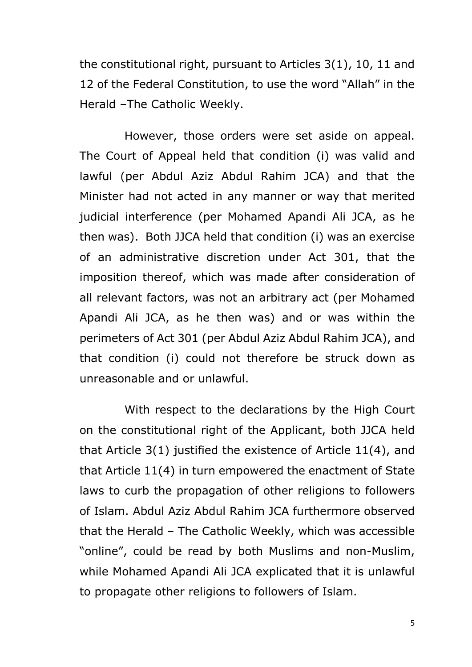the constitutional right, pursuant to Articles 3(1), 10, 11 and 12 of the Federal Constitution, to use the word "Allah" in the Herald –The Catholic Weekly.

However, those orders were set aside on appeal. The Court of Appeal held that condition (i) was valid and lawful (per Abdul Aziz Abdul Rahim JCA) and that the Minister had not acted in any manner or way that merited judicial interference (per Mohamed Apandi Ali JCA, as he then was). Both JJCA held that condition (i) was an exercise of an administrative discretion under Act 301, that the imposition thereof, which was made after consideration of all relevant factors, was not an arbitrary act (per Mohamed Apandi Ali JCA, as he then was) and or was within the perimeters of Act 301 (per Abdul Aziz Abdul Rahim JCA), and that condition (i) could not therefore be struck down as unreasonable and or unlawful.

With respect to the declarations by the High Court on the constitutional right of the Applicant, both JJCA held that Article 3(1) justified the existence of Article 11(4), and that Article 11(4) in turn empowered the enactment of State laws to curb the propagation of other religions to followers of Islam. Abdul Aziz Abdul Rahim JCA furthermore observed that the Herald – The Catholic Weekly, which was accessible "online", could be read by both Muslims and non-Muslim, while Mohamed Apandi Ali JCA explicated that it is unlawful to propagate other religions to followers of Islam.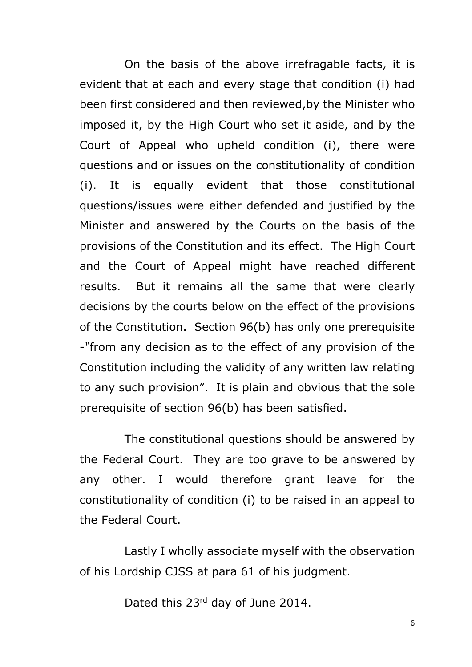On the basis of the above irrefragable facts, it is evident that at each and every stage that condition (i) had been first considered and then reviewed,by the Minister who imposed it, by the High Court who set it aside, and by the Court of Appeal who upheld condition (i), there were questions and or issues on the constitutionality of condition (i). It is equally evident that those constitutional questions/issues were either defended and justified by the Minister and answered by the Courts on the basis of the provisions of the Constitution and its effect. The High Court and the Court of Appeal might have reached different results. But it remains all the same that were clearly decisions by the courts below on the effect of the provisions of the Constitution. Section 96(b) has only one prerequisite -*"*from any decision as to the effect of any provision of the Constitution including the validity of any written law relating to any such provision". It is plain and obvious that the sole prerequisite of section 96(b) has been satisfied.

The constitutional questions should be answered by the Federal Court. They are too grave to be answered by any other. I would therefore grant leave for the constitutionality of condition (i) to be raised in an appeal to the Federal Court.

Lastly I wholly associate myself with the observation of his Lordship CJSS at para 61 of his judgment.

Dated this 23<sup>rd</sup> day of June 2014.